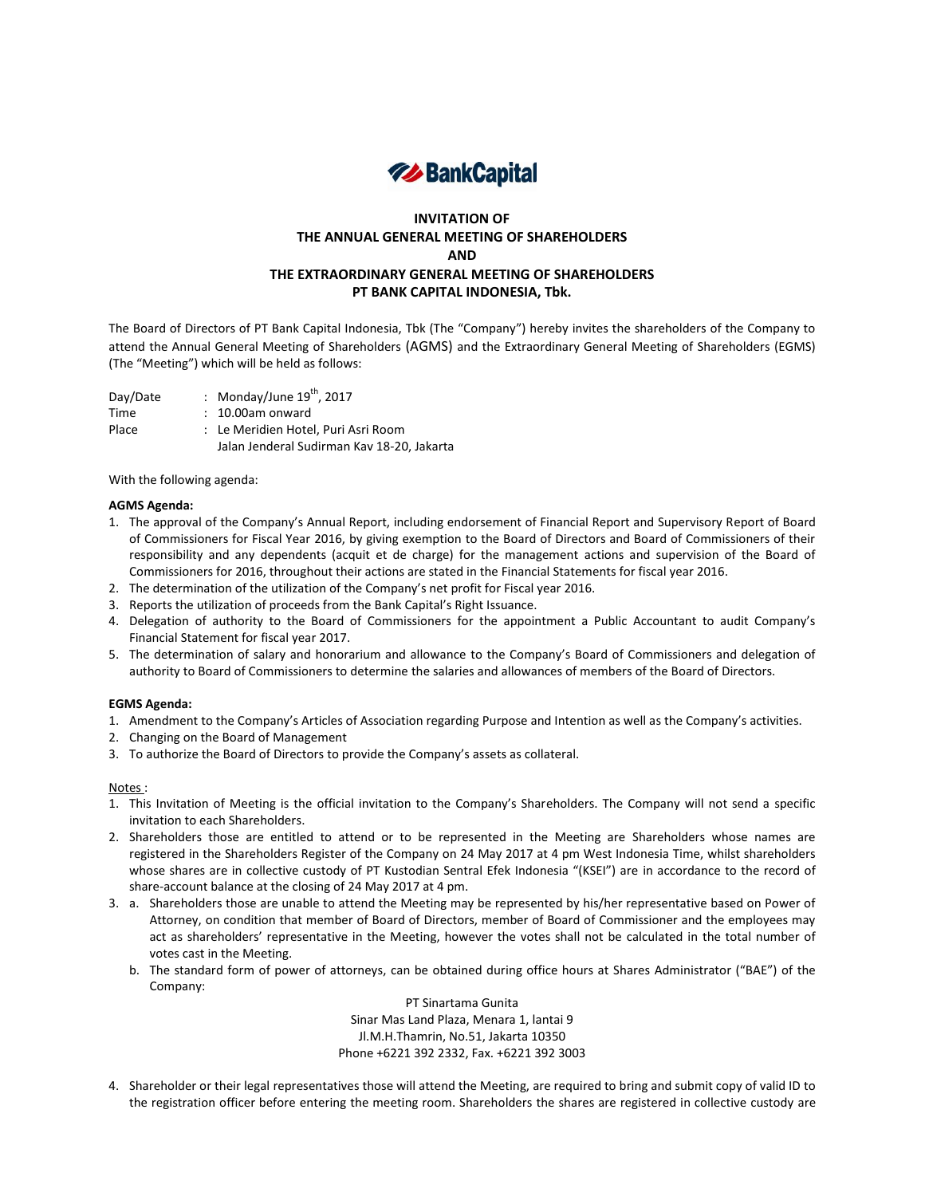

# **INVITATION OF THE ANNUAL GENERAL MEETING OF SHAREHOLDERS AND THE EXTRAORDINARY GENERAL MEETING OF SHAREHOLDERS PT BANK CAPITAL INDONESIA, Tbk.**

The Board of Directors of PT Bank Capital Indonesia, Tbk (The "Company") hereby invites the shareholders of the Company to attend the Annual General Meeting of Shareholders (AGMS) and the Extraordinary General Meeting of Shareholders (EGMS) (The "Meeting") which will be held as follows:

Day/Date : Monday/June  $19^{th}$ , 2017 Time : 10.00am onward Place : Le Meridien Hotel, Puri Asri Room Jalan Jenderal Sudirman Kav 18-20, Jakarta

With the following agenda:

## **AGMS Agenda:**

- 1. The approval of the Company's Annual Report, including endorsement of Financial Report and Supervisory Report of Board of Commissioners for Fiscal Year 2016, by giving exemption to the Board of Directors and Board of Commissioners of their responsibility and any dependents (acquit et de charge) for the management actions and supervision of the Board of Commissioners for 2016, throughout their actions are stated in the Financial Statements for fiscal year 2016.
- 2. The determination of the utilization of the Company's net profit for Fiscal year 2016.
- 3. Reports the utilization of proceeds from the Bank Capital's Right Issuance.
- 4. Delegation of authority to the Board of Commissioners for the appointment a Public Accountant to audit Company's Financial Statement for fiscal year 2017.
- 5. The determination of salary and honorarium and allowance to the Company's Board of Commissioners and delegation of authority to Board of Commissioners to determine the salaries and allowances of members of the Board of Directors.

### **EGMS Agenda:**

- 1. Amendment to the Company's Articles of Association regarding Purpose and Intention as well as the Company's activities.
- 2. Changing on the Board of Management
- 3. To authorize the Board of Directors to provide the Company's assets as collateral.

### Notes :

- 1. This Invitation of Meeting is the official invitation to the Company's Shareholders. The Company will not send a specific invitation to each Shareholders.
- 2. Shareholders those are entitled to attend or to be represented in the Meeting are Shareholders whose names are registered in the Shareholders Register of the Company on 24 May 2017 at 4 pm West Indonesia Time, whilst shareholders whose shares are in collective custody of PT Kustodian Sentral Efek Indonesia "(KSEI") are in accordance to the record of share-account balance at the closing of 24 May 2017 at 4 pm.
- 3. a. Shareholders those are unable to attend the Meeting may be represented by his/her representative based on Power of Attorney, on condition that member of Board of Directors, member of Board of Commissioner and the employees may act as shareholders' representative in the Meeting, however the votes shall not be calculated in the total number of votes cast in the Meeting.
	- b. The standard form of power of attorneys, can be obtained during office hours at Shares Administrator ("BAE") of the Company:

PT Sinartama Gunita Sinar Mas Land Plaza, Menara 1, lantai 9 Jl.M.H.Thamrin, No.51, Jakarta 10350 Phone +6221 392 2332, Fax. +6221 392 3003

4. Shareholder or their legal representatives those will attend the Meeting, are required to bring and submit copy of valid ID to the registration officer before entering the meeting room. Shareholders the shares are registered in collective custody are